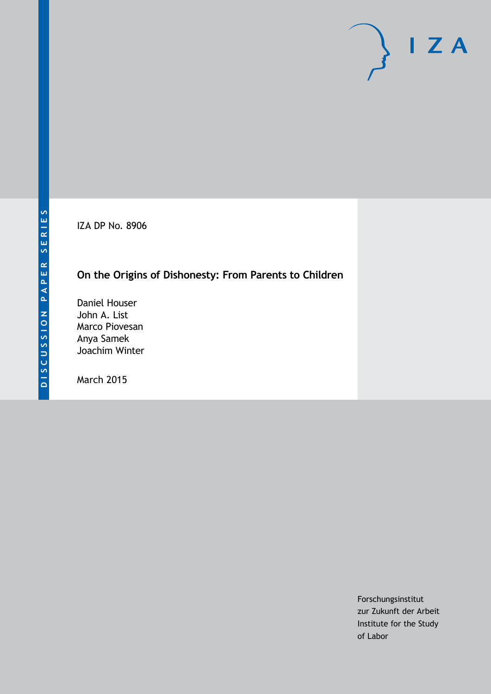IZA DP No. 8906

## **On the Origins of Dishonesty: From Parents to Children**

Daniel Houser John A. List Marco Piovesan Anya Samek Joachim Winter

March 2015

Forschungsinstitut zur Zukunft der Arbeit Institute for the Study of Labor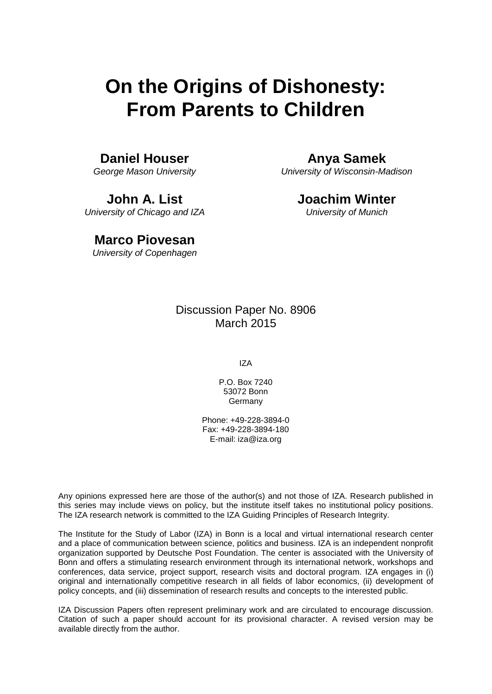# **On the Origins of Dishonesty: From Parents to Children**

## **Daniel Houser**

*George Mason University*

**John A. List** *University of Chicago and IZA*

## **Marco Piovesan**

*University of Copenhagen*

## **Anya Samek**

*University of Wisconsin-Madison*

## **Joachim Winter**

*University of Munich*

## Discussion Paper No. 8906 March 2015

IZA

P.O. Box 7240 53072 Bonn **Germany** 

Phone: +49-228-3894-0 Fax: +49-228-3894-180 E-mail: iza@iza.org

Any opinions expressed here are those of the author(s) and not those of IZA. Research published in this series may include views on policy, but the institute itself takes no institutional policy positions. The IZA research network is committed to the IZA Guiding Principles of Research Integrity.

The Institute for the Study of Labor (IZA) in Bonn is a local and virtual international research center and a place of communication between science, politics and business. IZA is an independent nonprofit organization supported by Deutsche Post Foundation. The center is associated with the University of Bonn and offers a stimulating research environment through its international network, workshops and conferences, data service, project support, research visits and doctoral program. IZA engages in (i) original and internationally competitive research in all fields of labor economics, (ii) development of policy concepts, and (iii) dissemination of research results and concepts to the interested public.

<span id="page-1-0"></span>IZA Discussion Papers often represent preliminary work and are circulated to encourage discussion. Citation of such a paper should account for its provisional character. A revised version may be available directly from the author.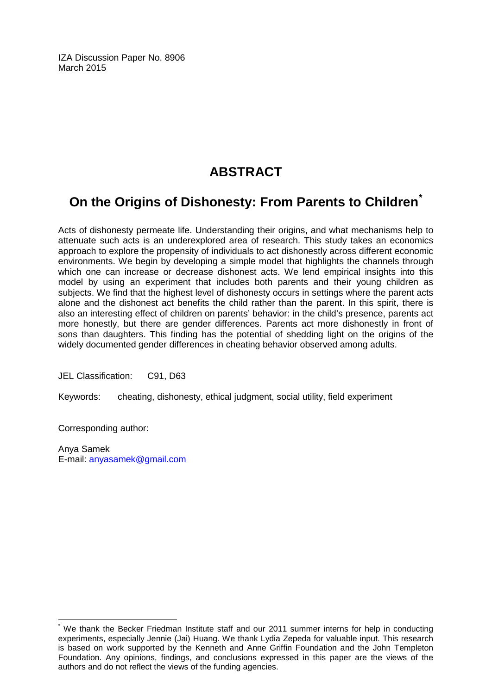IZA Discussion Paper No. 8906 March 2015

## **ABSTRACT**

## **On the Origins of Dishonesty: From Parents to Children[\\*](#page-1-0)**

Acts of dishonesty permeate life. Understanding their origins, and what mechanisms help to attenuate such acts is an underexplored area of research. This study takes an economics approach to explore the propensity of individuals to act dishonestly across different economic environments. We begin by developing a simple model that highlights the channels through which one can increase or decrease dishonest acts. We lend empirical insights into this model by using an experiment that includes both parents and their young children as subjects. We find that the highest level of dishonesty occurs in settings where the parent acts alone and the dishonest act benefits the child rather than the parent. In this spirit, there is also an interesting effect of children on parents' behavior: in the child's presence, parents act more honestly, but there are gender differences. Parents act more dishonestly in front of sons than daughters. This finding has the potential of shedding light on the origins of the widely documented gender differences in cheating behavior observed among adults.

JEL Classification: C91, D63

Keywords: cheating, dishonesty, ethical judgment, social utility, field experiment

Corresponding author:

Anya Samek E-mail: [anyasamek@gmail.com](mailto:anyasamek@gmail.com)

We thank the Becker Friedman Institute staff and our 2011 summer interns for help in conducting experiments, especially Jennie (Jai) Huang. We thank Lydia Zepeda for valuable input. This research is based on work supported by the Kenneth and Anne Griffin Foundation and the John Templeton Foundation. Any opinions, findings, and conclusions expressed in this paper are the views of the authors and do not reflect the views of the funding agencies.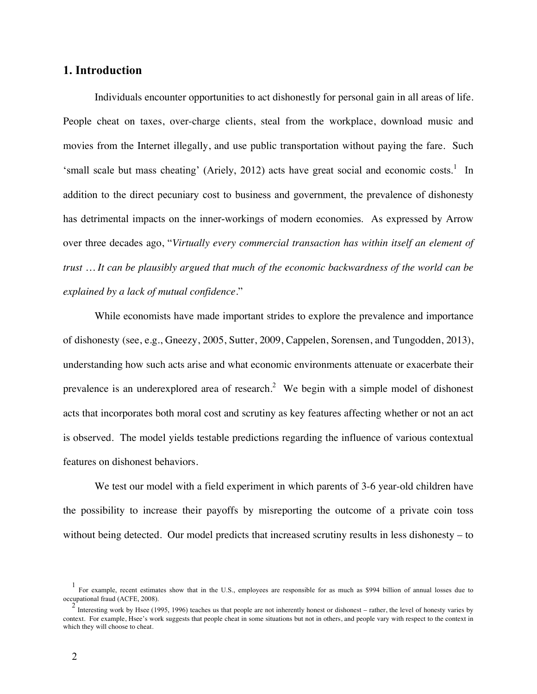## **1. Introduction**

Individuals encounter opportunities to act dishonestly for personal gain in all areas of life. People cheat on taxes, over-charge clients, steal from the workplace, download music and movies from the Internet illegally, and use public transportation without paying the fare. Such 'small scale but mass cheating' (Ariely, 2012) acts have great social and economic costs.<sup>1</sup> In addition to the direct pecuniary cost to business and government, the prevalence of dishonesty has detrimental impacts on the inner-workings of modern economies. As expressed by Arrow over three decades ago, "*Virtually every commercial transaction has within itself an element of trust … It can be plausibly argued that much of the economic backwardness of the world can be explained by a lack of mutual confidence*."

While economists have made important strides to explore the prevalence and importance of dishonesty (see, e.g., Gneezy, 2005, Sutter, 2009, Cappelen, Sorensen, and Tungodden, 2013), understanding how such acts arise and what economic environments attenuate or exacerbate their prevalence is an underexplored area of research.<sup>2</sup> We begin with a simple model of dishonest acts that incorporates both moral cost and scrutiny as key features affecting whether or not an act is observed. The model yields testable predictions regarding the influence of various contextual features on dishonest behaviors.

We test our model with a field experiment in which parents of 3-6 year-old children have the possibility to increase their payoffs by misreporting the outcome of a private coin toss without being detected. Our model predicts that increased scrutiny results in less dishonesty – to

<sup>1</sup> For example, recent estimates show that in the U.S., employees are responsible for as much as \$994 billion of annual losses due to occupational fraud (ACFE, 2008).

<sup>2</sup> Interesting work by Hsee (1995, 1996) teaches us that people are not inherently honest or dishonest – rather, the level of honesty varies by context. For example, Hsee's work suggests that people cheat in some situations but not in others, and people vary with respect to the context in which they will choose to cheat.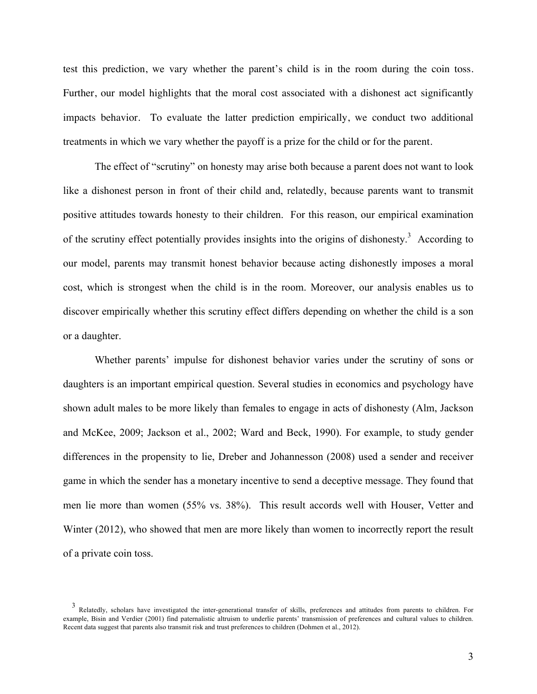test this prediction, we vary whether the parent's child is in the room during the coin toss. Further, our model highlights that the moral cost associated with a dishonest act significantly impacts behavior. To evaluate the latter prediction empirically, we conduct two additional treatments in which we vary whether the payoff is a prize for the child or for the parent.

The effect of "scrutiny" on honesty may arise both because a parent does not want to look like a dishonest person in front of their child and, relatedly, because parents want to transmit positive attitudes towards honesty to their children. For this reason, our empirical examination of the scrutiny effect potentially provides insights into the origins of dishonesty.<sup>3</sup> According to our model, parents may transmit honest behavior because acting dishonestly imposes a moral cost, which is strongest when the child is in the room. Moreover, our analysis enables us to discover empirically whether this scrutiny effect differs depending on whether the child is a son or a daughter.

Whether parents' impulse for dishonest behavior varies under the scrutiny of sons or daughters is an important empirical question. Several studies in economics and psychology have shown adult males to be more likely than females to engage in acts of dishonesty (Alm, Jackson and McKee, 2009; Jackson et al., 2002; Ward and Beck, 1990). For example, to study gender differences in the propensity to lie, Dreber and Johannesson (2008) used a sender and receiver game in which the sender has a monetary incentive to send a deceptive message. They found that men lie more than women (55% vs. 38%). This result accords well with Houser, Vetter and Winter (2012), who showed that men are more likely than women to incorrectly report the result of a private coin toss.

<sup>3</sup> Relatedly, scholars have investigated the inter-generational transfer of skills, preferences and attitudes from parents to children. For example, Bisin and Verdier (2001) find paternalistic altruism to underlie parents' transmission of preferences and cultural values to children. Recent data suggest that parents also transmit risk and trust preferences to children (Dohmen et al., 2012).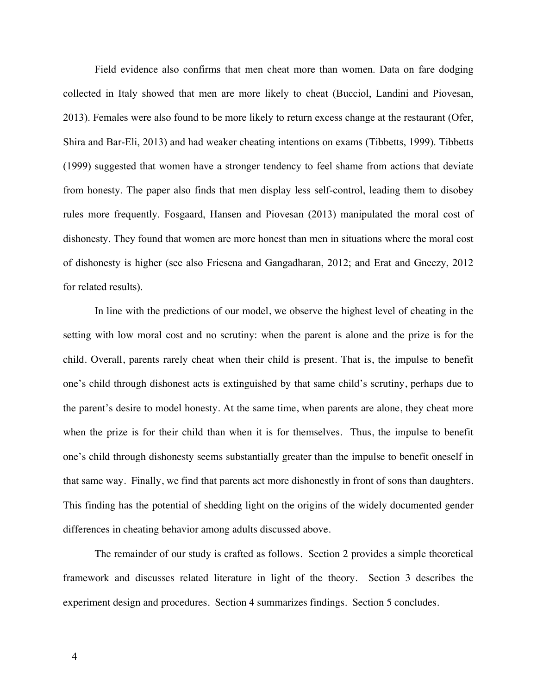Field evidence also confirms that men cheat more than women. Data on fare dodging collected in Italy showed that men are more likely to cheat (Bucciol, Landini and Piovesan, 2013). Females were also found to be more likely to return excess change at the restaurant (Ofer, Shira and Bar-Eli, 2013) and had weaker cheating intentions on exams (Tibbetts, 1999). Tibbetts (1999) suggested that women have a stronger tendency to feel shame from actions that deviate from honesty. The paper also finds that men display less self-control, leading them to disobey rules more frequently. Fosgaard, Hansen and Piovesan (2013) manipulated the moral cost of dishonesty. They found that women are more honest than men in situations where the moral cost of dishonesty is higher (see also Friesena and Gangadharan, 2012; and Erat and Gneezy, 2012 for related results).

In line with the predictions of our model, we observe the highest level of cheating in the setting with low moral cost and no scrutiny: when the parent is alone and the prize is for the child. Overall, parents rarely cheat when their child is present. That is, the impulse to benefit one's child through dishonest acts is extinguished by that same child's scrutiny, perhaps due to the parent's desire to model honesty. At the same time, when parents are alone, they cheat more when the prize is for their child than when it is for themselves. Thus, the impulse to benefit one's child through dishonesty seems substantially greater than the impulse to benefit oneself in that same way. Finally, we find that parents act more dishonestly in front of sons than daughters. This finding has the potential of shedding light on the origins of the widely documented gender differences in cheating behavior among adults discussed above.

The remainder of our study is crafted as follows. Section 2 provides a simple theoretical framework and discusses related literature in light of the theory. Section 3 describes the experiment design and procedures. Section 4 summarizes findings. Section 5 concludes.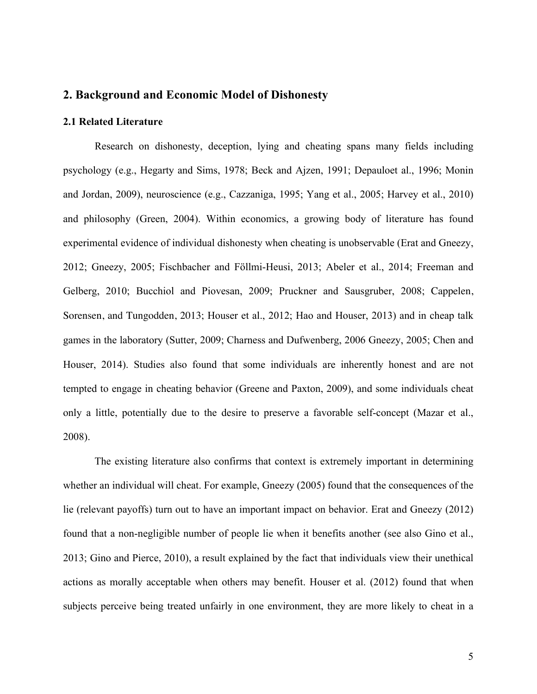## **2. Background and Economic Model of Dishonesty**

## **2.1 Related Literature**

Research on dishonesty, deception, lying and cheating spans many fields including psychology (e.g., Hegarty and Sims, 1978; Beck and Ajzen, 1991; Depauloet al., 1996; Monin and Jordan, 2009), neuroscience (e.g., Cazzaniga, 1995; Yang et al., 2005; Harvey et al., 2010) and philosophy (Green, 2004). Within economics, a growing body of literature has found experimental evidence of individual dishonesty when cheating is unobservable (Erat and Gneezy, 2012; Gneezy, 2005; Fischbacher and Föllmi-Heusi, 2013; Abeler et al., 2014; Freeman and Gelberg, 2010; Bucchiol and Piovesan, 2009; Pruckner and Sausgruber, 2008; Cappelen, Sorensen, and Tungodden, 2013; Houser et al., 2012; Hao and Houser, 2013) and in cheap talk games in the laboratory (Sutter, 2009; Charness and Dufwenberg, 2006 Gneezy, 2005; Chen and Houser, 2014). Studies also found that some individuals are inherently honest and are not tempted to engage in cheating behavior (Greene and Paxton, 2009), and some individuals cheat only a little, potentially due to the desire to preserve a favorable self-concept (Mazar et al., 2008).

The existing literature also confirms that context is extremely important in determining whether an individual will cheat. For example, Gneezy (2005) found that the consequences of the lie (relevant payoffs) turn out to have an important impact on behavior. Erat and Gneezy (2012) found that a non-negligible number of people lie when it benefits another (see also Gino et al., 2013; Gino and Pierce, 2010), a result explained by the fact that individuals view their unethical actions as morally acceptable when others may benefit. Houser et al. (2012) found that when subjects perceive being treated unfairly in one environment, they are more likely to cheat in a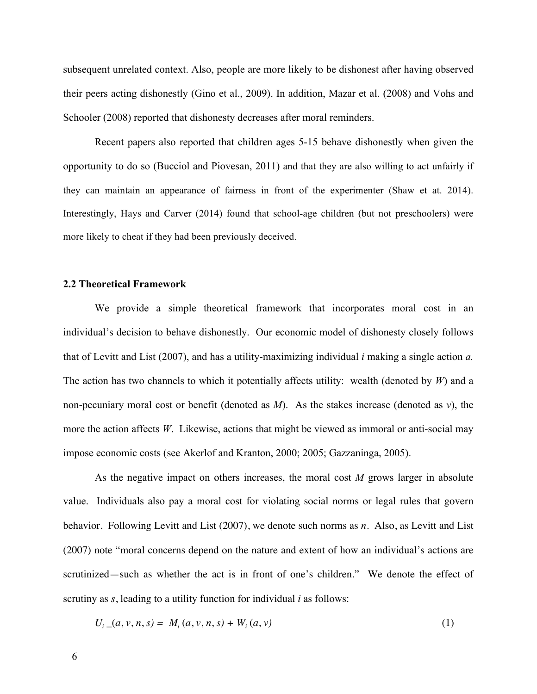subsequent unrelated context. Also, people are more likely to be dishonest after having observed their peers acting dishonestly (Gino et al., 2009). In addition, Mazar et al. (2008) and Vohs and Schooler (2008) reported that dishonesty decreases after moral reminders.

Recent papers also reported that children ages 5-15 behave dishonestly when given the opportunity to do so (Bucciol and Piovesan, 2011) and that they are also willing to act unfairly if they can maintain an appearance of fairness in front of the experimenter (Shaw et at. 2014). Interestingly, Hays and Carver (2014) found that school-age children (but not preschoolers) were more likely to cheat if they had been previously deceived.

#### **2.2 Theoretical Framework**

We provide a simple theoretical framework that incorporates moral cost in an individual's decision to behave dishonestly. Our economic model of dishonesty closely follows that of Levitt and List (2007), and has a utility-maximizing individual *i* making a single action *a.* The action has two channels to which it potentially affects utility: wealth (denoted by *W*) and a non-pecuniary moral cost or benefit (denoted as *M*). As the stakes increase (denoted as *v*), the more the action affects *W*. Likewise, actions that might be viewed as immoral or anti-social may impose economic costs (see Akerlof and Kranton, 2000; 2005; Gazzaninga, 2005).

As the negative impact on others increases, the moral cost *M* grows larger in absolute value. Individuals also pay a moral cost for violating social norms or legal rules that govern behavior. Following Levitt and List (2007), we denote such norms as *n*. Also, as Levitt and List (2007) note "moral concerns depend on the nature and extent of how an individual's actions are scrutinized—such as whether the act is in front of one's children." We denote the effect of scrutiny as *s*, leading to a utility function for individual *i* as follows:

$$
U_i (a, v, n, s) = M_i (a, v, n, s) + W_i (a, v)
$$
\n(1)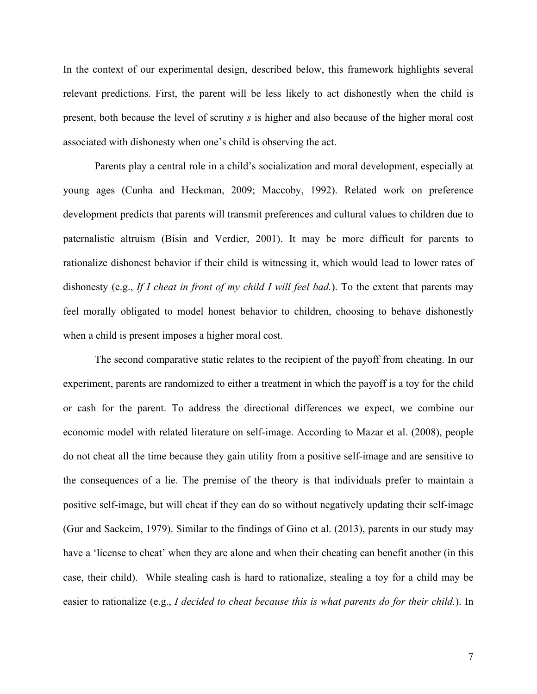In the context of our experimental design, described below, this framework highlights several relevant predictions. First, the parent will be less likely to act dishonestly when the child is present, both because the level of scrutiny *s* is higher and also because of the higher moral cost associated with dishonesty when one's child is observing the act.

Parents play a central role in a child's socialization and moral development, especially at young ages (Cunha and Heckman, 2009; Maccoby, 1992). Related work on preference development predicts that parents will transmit preferences and cultural values to children due to paternalistic altruism (Bisin and Verdier, 2001). It may be more difficult for parents to rationalize dishonest behavior if their child is witnessing it, which would lead to lower rates of dishonesty (e.g., *If I cheat in front of my child I will feel bad.*). To the extent that parents may feel morally obligated to model honest behavior to children, choosing to behave dishonestly when a child is present imposes a higher moral cost.

The second comparative static relates to the recipient of the payoff from cheating. In our experiment, parents are randomized to either a treatment in which the payoff is a toy for the child or cash for the parent. To address the directional differences we expect, we combine our economic model with related literature on self-image. According to Mazar et al. (2008), people do not cheat all the time because they gain utility from a positive self-image and are sensitive to the consequences of a lie. The premise of the theory is that individuals prefer to maintain a positive self-image, but will cheat if they can do so without negatively updating their self-image (Gur and Sackeim, 1979). Similar to the findings of Gino et al. (2013), parents in our study may have a 'license to cheat' when they are alone and when their cheating can benefit another (in this case, their child). While stealing cash is hard to rationalize, stealing a toy for a child may be easier to rationalize (e.g., *I decided to cheat because this is what parents do for their child.*). In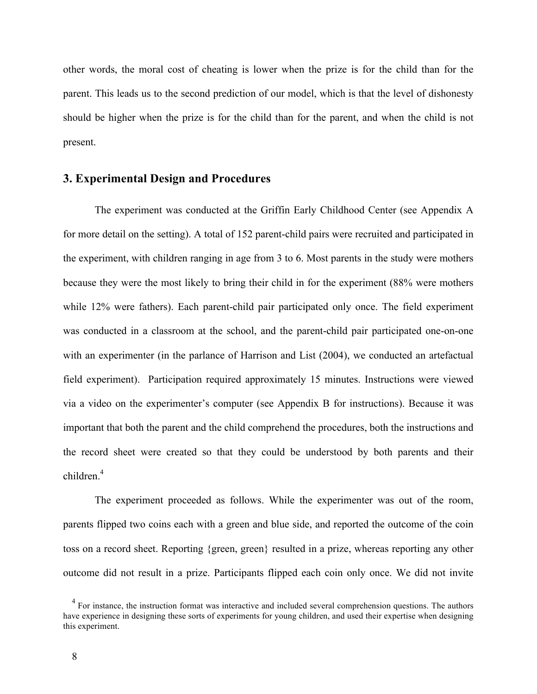other words, the moral cost of cheating is lower when the prize is for the child than for the parent. This leads us to the second prediction of our model, which is that the level of dishonesty should be higher when the prize is for the child than for the parent, and when the child is not present.

## **3. Experimental Design and Procedures**

The experiment was conducted at the Griffin Early Childhood Center (see Appendix A for more detail on the setting). A total of 152 parent-child pairs were recruited and participated in the experiment, with children ranging in age from 3 to 6. Most parents in the study were mothers because they were the most likely to bring their child in for the experiment (88% were mothers while 12% were fathers). Each parent-child pair participated only once. The field experiment was conducted in a classroom at the school, and the parent-child pair participated one-on-one with an experimenter (in the parlance of Harrison and List  $(2004)$ , we conducted an artefactual field experiment). Participation required approximately 15 minutes. Instructions were viewed via a video on the experimenter's computer (see Appendix B for instructions). Because it was important that both the parent and the child comprehend the procedures, both the instructions and the record sheet were created so that they could be understood by both parents and their children. 4

The experiment proceeded as follows. While the experimenter was out of the room, parents flipped two coins each with a green and blue side, and reported the outcome of the coin toss on a record sheet. Reporting {green, green} resulted in a prize, whereas reporting any other outcome did not result in a prize. Participants flipped each coin only once. We did not invite

<sup>&</sup>lt;sup>4</sup> For instance, the instruction format was interactive and included several comprehension questions. The authors have experience in designing these sorts of experiments for young children, and used their expertise when designing this experiment.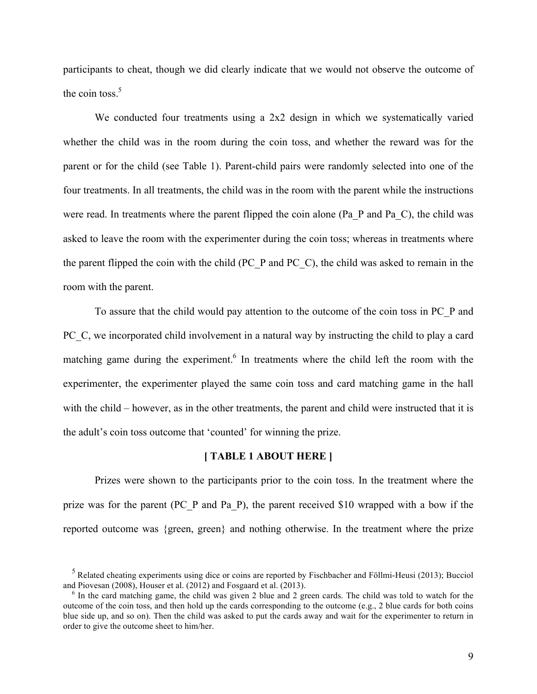participants to cheat, though we did clearly indicate that we would not observe the outcome of the coin toss. 5

We conducted four treatments using a 2x2 design in which we systematically varied whether the child was in the room during the coin toss, and whether the reward was for the parent or for the child (see Table 1). Parent-child pairs were randomly selected into one of the four treatments. In all treatments, the child was in the room with the parent while the instructions were read. In treatments where the parent flipped the coin alone (Pa\_P and Pa\_C), the child was asked to leave the room with the experimenter during the coin toss; whereas in treatments where the parent flipped the coin with the child (PC\_P and PC\_C), the child was asked to remain in the room with the parent.

To assure that the child would pay attention to the outcome of the coin toss in PC\_P and PC C, we incorporated child involvement in a natural way by instructing the child to play a card matching game during the experiment.<sup> $6$ </sup> In treatments where the child left the room with the experimenter, the experimenter played the same coin toss and card matching game in the hall with the child – however, as in the other treatments, the parent and child were instructed that it is the adult's coin toss outcome that 'counted' for winning the prize.

#### **[ TABLE 1 ABOUT HERE ]**

Prizes were shown to the participants prior to the coin toss. In the treatment where the prize was for the parent (PC\_P and Pa\_P), the parent received \$10 wrapped with a bow if the reported outcome was {green, green} and nothing otherwise. In the treatment where the prize

<sup>&</sup>lt;sup>5</sup> Related cheating experiments using dice or coins are reported by Fischbacher and Föllmi-Heusi (2013); Bucciol and Piovesan (2008), Houser et al. (2012) and Fosgaard et al. (2013).

 $\alpha$ <sup>6</sup> In the card matching game, the child was given 2 blue and 2 green cards. The child was told to watch for the outcome of the coin toss, and then hold up the cards corresponding to the outcome (e.g., 2 blue cards for both coins blue side up, and so on). Then the child was asked to put the cards away and wait for the experimenter to return in order to give the outcome sheet to him/her.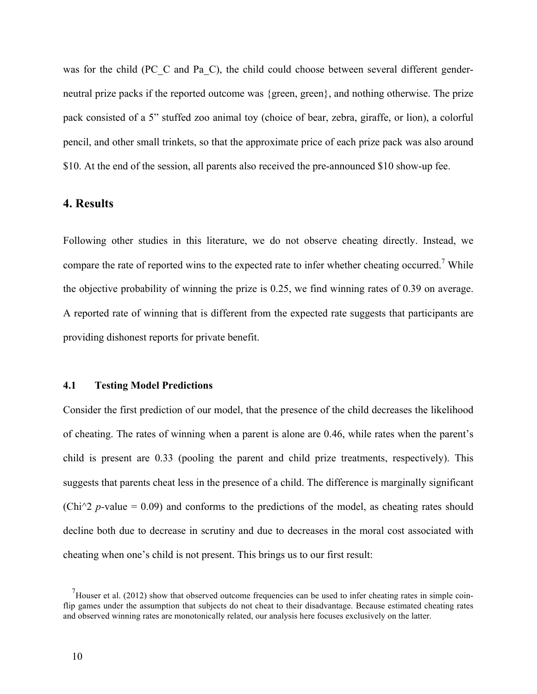was for the child (PC<sub>C</sub> and Pa<sub>C</sub>), the child could choose between several different genderneutral prize packs if the reported outcome was {green, green}, and nothing otherwise. The prize pack consisted of a 5" stuffed zoo animal toy (choice of bear, zebra, giraffe, or lion), a colorful pencil, and other small trinkets, so that the approximate price of each prize pack was also around \$10. At the end of the session, all parents also received the pre-announced \$10 show-up fee.

## **4. Results**

Following other studies in this literature, we do not observe cheating directly. Instead, we compare the rate of reported wins to the expected rate to infer whether cheating occurred.<sup>7</sup> While the objective probability of winning the prize is 0.25, we find winning rates of 0.39 on average. A reported rate of winning that is different from the expected rate suggests that participants are providing dishonest reports for private benefit.

### **4.1 Testing Model Predictions**

Consider the first prediction of our model, that the presence of the child decreases the likelihood of cheating. The rates of winning when a parent is alone are 0.46, while rates when the parent's child is present are 0.33 (pooling the parent and child prize treatments, respectively). This suggests that parents cheat less in the presence of a child. The difference is marginally significant (Chi<sup> $\gamma$ </sup><sub>2</sub> *p*-value = 0.09) and conforms to the predictions of the model, as cheating rates should decline both due to decrease in scrutiny and due to decreases in the moral cost associated with cheating when one's child is not present. This brings us to our first result:

 $<sup>7</sup>$ Houser et al. (2012) show that observed outcome frequencies can be used to infer cheating rates in simple coin-</sup> flip games under the assumption that subjects do not cheat to their disadvantage. Because estimated cheating rates and observed winning rates are monotonically related, our analysis here focuses exclusively on the latter.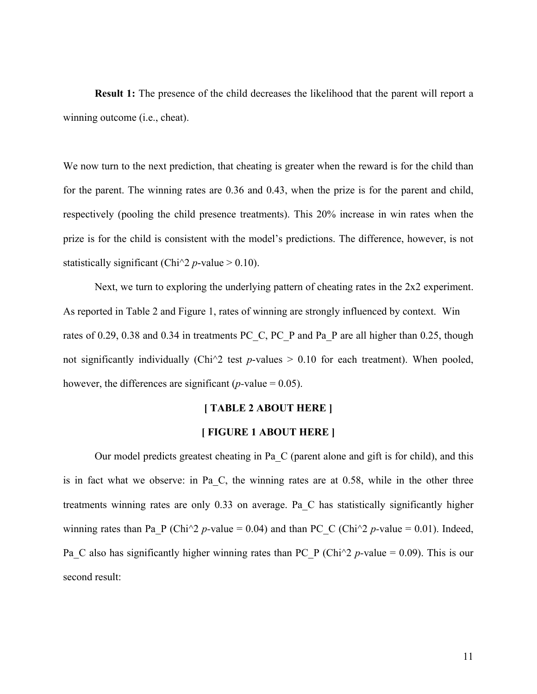**Result 1:** The presence of the child decreases the likelihood that the parent will report a winning outcome (i.e., cheat).

We now turn to the next prediction, that cheating is greater when the reward is for the child than for the parent. The winning rates are 0.36 and 0.43, when the prize is for the parent and child, respectively (pooling the child presence treatments). This 20% increase in win rates when the prize is for the child is consistent with the model's predictions. The difference, however, is not statistically significant (Chi $\textdegree 2$  *p*-value  $\textdegree 0.10$ ).

Next, we turn to exploring the underlying pattern of cheating rates in the 2x2 experiment. As reported in Table 2 and Figure 1, rates of winning are strongly influenced by context. Win rates of 0.29, 0.38 and 0.34 in treatments PC\_C, PC\_P and Pa\_P are all higher than 0.25, though not significantly individually (Chi<sup> $\land$ </sup>2 test *p*-values  $> 0.10$  for each treatment). When pooled, however, the differences are significant  $(p$ -value = 0.05).

#### **[ TABLE 2 ABOUT HERE ]**

#### **[ FIGURE 1 ABOUT HERE ]**

Our model predicts greatest cheating in Pa\_C (parent alone and gift is for child), and this is in fact what we observe: in Pa\_C, the winning rates are at 0.58, while in the other three treatments winning rates are only 0.33 on average. Pa\_C has statistically significantly higher winning rates than Pa\_P (Chi^2 *p*-value = 0.04) and than PC C (Chi^2 *p*-value = 0.01). Indeed, Pa\_C also has significantly higher winning rates than PC\_P (Chi<sup> $\land$ </sup>2 *p*-value = 0.09). This is our second result: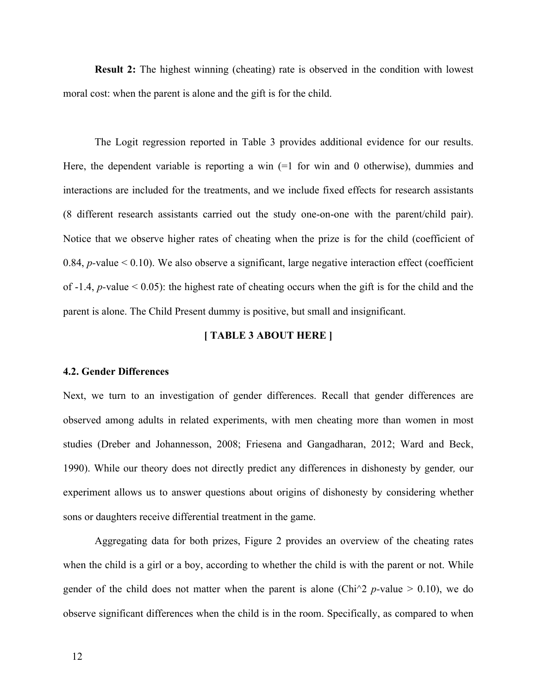**Result 2:** The highest winning (cheating) rate is observed in the condition with lowest moral cost: when the parent is alone and the gift is for the child.

The Logit regression reported in Table 3 provides additional evidence for our results. Here, the dependent variable is reporting a win  $(=1)$  for win and 0 otherwise), dummies and interactions are included for the treatments, and we include fixed effects for research assistants (8 different research assistants carried out the study one-on-one with the parent/child pair). Notice that we observe higher rates of cheating when the prize is for the child (coefficient of 0.84, *p-*value < 0.10). We also observe a significant, large negative interaction effect (coefficient of -1.4, *p-*value < 0.05): the highest rate of cheating occurs when the gift is for the child and the parent is alone. The Child Present dummy is positive, but small and insignificant.

#### **[ TABLE 3 ABOUT HERE ]**

#### **4.2. Gender Differences**

Next, we turn to an investigation of gender differences. Recall that gender differences are observed among adults in related experiments, with men cheating more than women in most studies (Dreber and Johannesson, 2008; Friesena and Gangadharan, 2012; Ward and Beck, 1990). While our theory does not directly predict any differences in dishonesty by gender*,* our experiment allows us to answer questions about origins of dishonesty by considering whether sons or daughters receive differential treatment in the game.

Aggregating data for both prizes, Figure 2 provides an overview of the cheating rates when the child is a girl or a boy, according to whether the child is with the parent or not. While gender of the child does not matter when the parent is alone (Chi<sup> $\alpha$ </sup> *p*-value  $> 0.10$ ), we do observe significant differences when the child is in the room. Specifically, as compared to when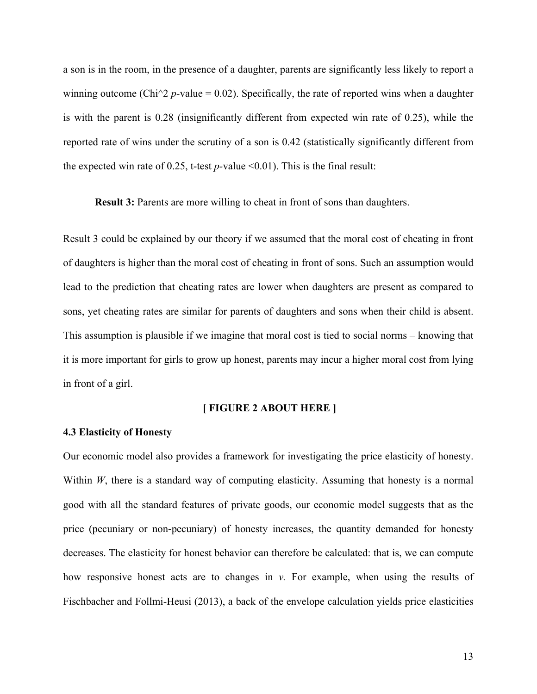a son is in the room, in the presence of a daughter, parents are significantly less likely to report a winning outcome (Chi<sup> $\land$ </sup> *p*-value = 0.02). Specifically, the rate of reported wins when a daughter is with the parent is 0.28 (insignificantly different from expected win rate of 0.25), while the reported rate of wins under the scrutiny of a son is 0.42 (statistically significantly different from the expected win rate of  $0.25$ , t-test *p*-value  $\leq 0.01$ ). This is the final result:

**Result 3:** Parents are more willing to cheat in front of sons than daughters.

Result 3 could be explained by our theory if we assumed that the moral cost of cheating in front of daughters is higher than the moral cost of cheating in front of sons. Such an assumption would lead to the prediction that cheating rates are lower when daughters are present as compared to sons, yet cheating rates are similar for parents of daughters and sons when their child is absent. This assumption is plausible if we imagine that moral cost is tied to social norms – knowing that it is more important for girls to grow up honest, parents may incur a higher moral cost from lying in front of a girl.

### **[ FIGURE 2 ABOUT HERE ]**

#### **4.3 Elasticity of Honesty**

Our economic model also provides a framework for investigating the price elasticity of honesty. Within *W*, there is a standard way of computing elasticity. Assuming that honesty is a normal good with all the standard features of private goods, our economic model suggests that as the price (pecuniary or non-pecuniary) of honesty increases, the quantity demanded for honesty decreases. The elasticity for honest behavior can therefore be calculated: that is, we can compute how responsive honest acts are to changes in *v.* For example, when using the results of Fischbacher and Follmi-Heusi (2013), a back of the envelope calculation yields price elasticities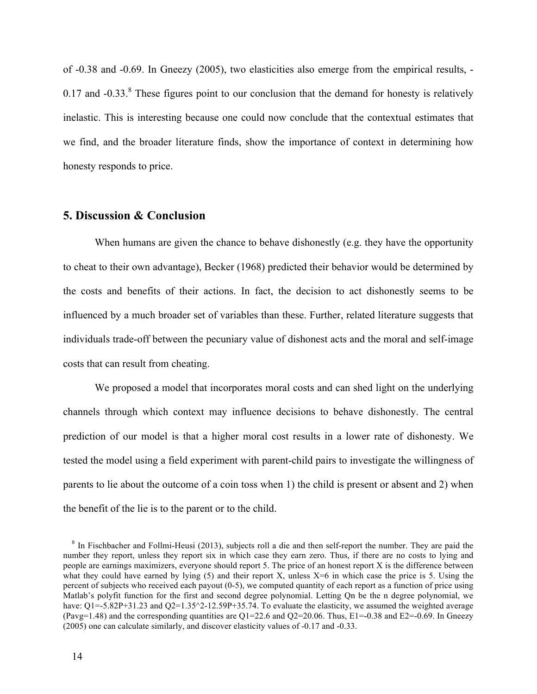of -0.38 and -0.69. In Gneezy (2005), two elasticities also emerge from the empirical results, -  $0.17$  and  $-0.33$ .<sup>8</sup> These figures point to our conclusion that the demand for honesty is relatively inelastic. This is interesting because one could now conclude that the contextual estimates that we find, and the broader literature finds, show the importance of context in determining how honesty responds to price.

## **5. Discussion & Conclusion**

When humans are given the chance to behave dishonestly (e.g. they have the opportunity to cheat to their own advantage), Becker (1968) predicted their behavior would be determined by the costs and benefits of their actions. In fact, the decision to act dishonestly seems to be influenced by a much broader set of variables than these. Further, related literature suggests that individuals trade-off between the pecuniary value of dishonest acts and the moral and self-image costs that can result from cheating.

We proposed a model that incorporates moral costs and can shed light on the underlying channels through which context may influence decisions to behave dishonestly. The central prediction of our model is that a higher moral cost results in a lower rate of dishonesty. We tested the model using a field experiment with parent-child pairs to investigate the willingness of parents to lie about the outcome of a coin toss when 1) the child is present or absent and 2) when the benefit of the lie is to the parent or to the child.

<sup>&</sup>lt;sup>8</sup> In Fischbacher and Follmi-Heusi (2013), subjects roll a die and then self-report the number. They are paid the number they report, unless they report six in which case they earn zero. Thus, if there are no costs to lying and people are earnings maximizers, everyone should report 5. The price of an honest report X is the difference between what they could have earned by lying  $(5)$  and their report X, unless X=6 in which case the price is 5. Using the percent of subjects who received each payout (0-5), we computed quantity of each report as a function of price using Matlab's polyfit function for the first and second degree polynomial. Letting Qn be the n degree polynomial, we have: Q1=-5.82P+31.23 and Q2=1.35^2-12.59P+35.74. To evaluate the elasticity, we assumed the weighted average (Pavg=1.48) and the corresponding quantities are Q1=22.6 and Q2=20.06. Thus, E1=-0.38 and E2=-0.69. In Gneezy (2005) one can calculate similarly, and discover elasticity values of -0.17 and -0.33.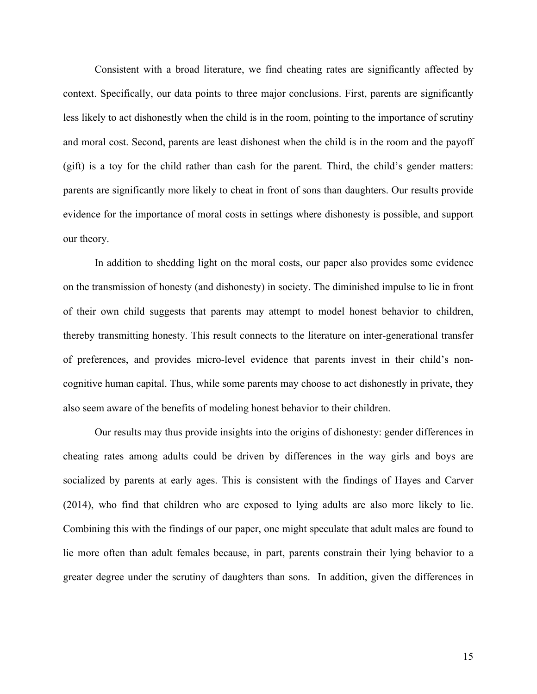Consistent with a broad literature, we find cheating rates are significantly affected by context. Specifically, our data points to three major conclusions. First, parents are significantly less likely to act dishonestly when the child is in the room, pointing to the importance of scrutiny and moral cost. Second, parents are least dishonest when the child is in the room and the payoff (gift) is a toy for the child rather than cash for the parent. Third, the child's gender matters: parents are significantly more likely to cheat in front of sons than daughters. Our results provide evidence for the importance of moral costs in settings where dishonesty is possible, and support our theory.

In addition to shedding light on the moral costs, our paper also provides some evidence on the transmission of honesty (and dishonesty) in society. The diminished impulse to lie in front of their own child suggests that parents may attempt to model honest behavior to children, thereby transmitting honesty. This result connects to the literature on inter-generational transfer of preferences, and provides micro-level evidence that parents invest in their child's noncognitive human capital. Thus, while some parents may choose to act dishonestly in private, they also seem aware of the benefits of modeling honest behavior to their children.

Our results may thus provide insights into the origins of dishonesty: gender differences in cheating rates among adults could be driven by differences in the way girls and boys are socialized by parents at early ages. This is consistent with the findings of Hayes and Carver (2014), who find that children who are exposed to lying adults are also more likely to lie. Combining this with the findings of our paper, one might speculate that adult males are found to lie more often than adult females because, in part, parents constrain their lying behavior to a greater degree under the scrutiny of daughters than sons. In addition, given the differences in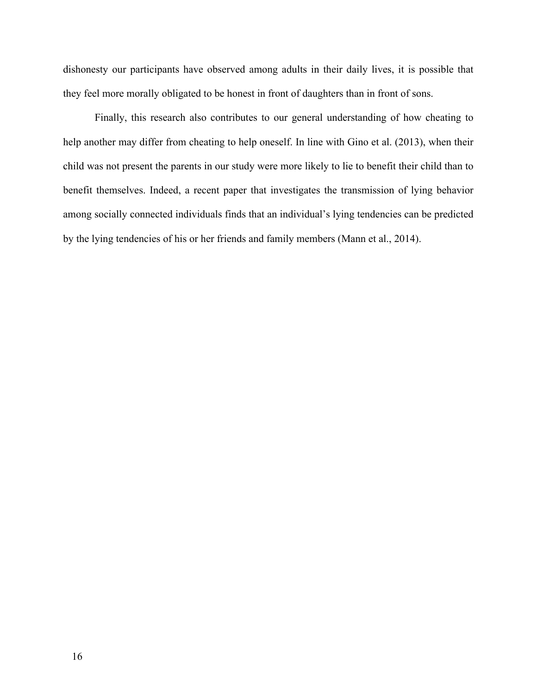dishonesty our participants have observed among adults in their daily lives, it is possible that they feel more morally obligated to be honest in front of daughters than in front of sons.

Finally, this research also contributes to our general understanding of how cheating to help another may differ from cheating to help oneself. In line with Gino et al. (2013), when their child was not present the parents in our study were more likely to lie to benefit their child than to benefit themselves. Indeed, a recent paper that investigates the transmission of lying behavior among socially connected individuals finds that an individual's lying tendencies can be predicted by the lying tendencies of his or her friends and family members (Mann et al., 2014).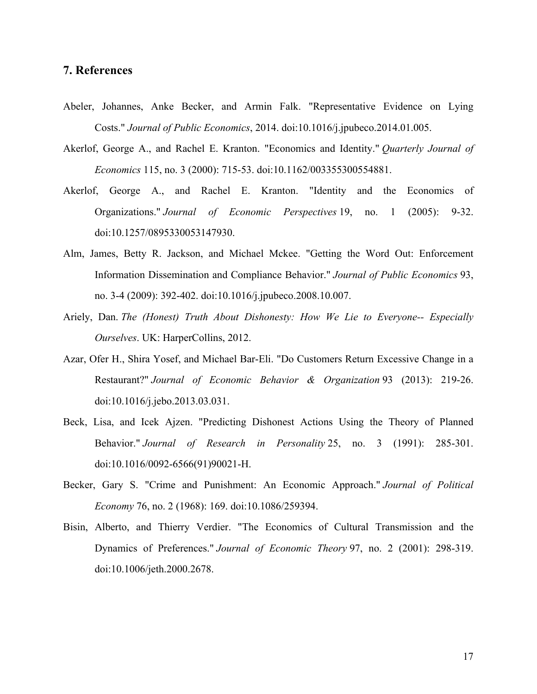## **7. References**

- Abeler, Johannes, Anke Becker, and Armin Falk. "Representative Evidence on Lying Costs." *Journal of Public Economics*, 2014. doi:10.1016/j.jpubeco.2014.01.005.
- Akerlof, George A., and Rachel E. Kranton. "Economics and Identity." *Quarterly Journal of Economics* 115, no. 3 (2000): 715-53. doi:10.1162/003355300554881.
- Akerlof, George A., and Rachel E. Kranton. "Identity and the Economics of Organizations." *Journal of Economic Perspectives* 19, no. 1 (2005): 9-32. doi:10.1257/0895330053147930.
- Alm, James, Betty R. Jackson, and Michael Mckee. "Getting the Word Out: Enforcement Information Dissemination and Compliance Behavior." *Journal of Public Economics* 93, no. 3-4 (2009): 392-402. doi:10.1016/j.jpubeco.2008.10.007.
- Ariely, Dan. *The (Honest) Truth About Dishonesty: How We Lie to Everyone-- Especially Ourselves*. UK: HarperCollins, 2012.
- Azar, Ofer H., Shira Yosef, and Michael Bar-Eli. "Do Customers Return Excessive Change in a Restaurant?" *Journal of Economic Behavior & Organization* 93 (2013): 219-26. doi:10.1016/j.jebo.2013.03.031.
- Beck, Lisa, and Icek Ajzen. "Predicting Dishonest Actions Using the Theory of Planned Behavior." *Journal of Research in Personality* 25, no. 3 (1991): 285-301. doi:10.1016/0092-6566(91)90021-H.
- Becker, Gary S. "Crime and Punishment: An Economic Approach." *Journal of Political Economy* 76, no. 2 (1968): 169. doi:10.1086/259394.
- Bisin, Alberto, and Thierry Verdier. "The Economics of Cultural Transmission and the Dynamics of Preferences." *Journal of Economic Theory* 97, no. 2 (2001): 298-319. doi:10.1006/jeth.2000.2678.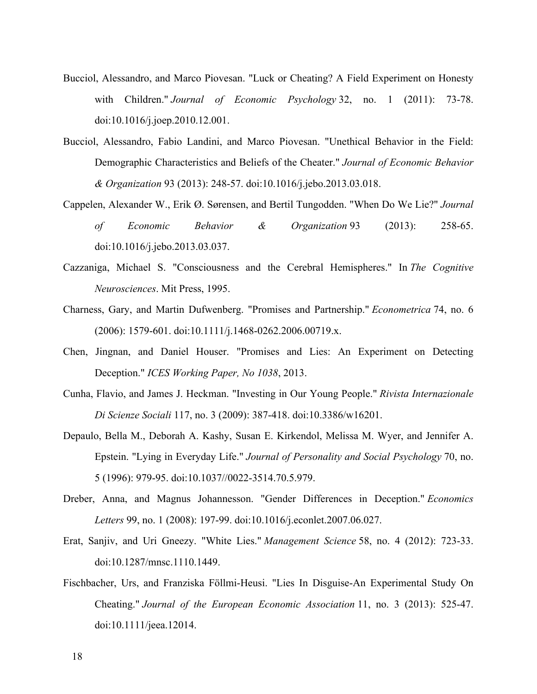- Bucciol, Alessandro, and Marco Piovesan. "Luck or Cheating? A Field Experiment on Honesty with Children." *Journal of Economic Psychology* 32, no. 1 (2011): 73-78. doi:10.1016/j.joep.2010.12.001.
- Bucciol, Alessandro, Fabio Landini, and Marco Piovesan. "Unethical Behavior in the Field: Demographic Characteristics and Beliefs of the Cheater." *Journal of Economic Behavior & Organization* 93 (2013): 248-57. doi:10.1016/j.jebo.2013.03.018.
- Cappelen, Alexander W., Erik Ø. Sørensen, and Bertil Tungodden. "When Do We Lie?" *Journal of Economic Behavior & Organization* 93 (2013): 258-65. doi:10.1016/j.jebo.2013.03.037.
- Cazzaniga, Michael S. "Consciousness and the Cerebral Hemispheres." In *The Cognitive Neurosciences*. Mit Press, 1995.
- Charness, Gary, and Martin Dufwenberg. "Promises and Partnership." *Econometrica* 74, no. 6 (2006): 1579-601. doi:10.1111/j.1468-0262.2006.00719.x.
- Chen, Jingnan, and Daniel Houser. "Promises and Lies: An Experiment on Detecting Deception." *ICES Working Paper, No 1038*, 2013.
- Cunha, Flavio, and James J. Heckman. "Investing in Our Young People." *Rivista Internazionale Di Scienze Sociali* 117, no. 3 (2009): 387-418. doi:10.3386/w16201.
- Depaulo, Bella M., Deborah A. Kashy, Susan E. Kirkendol, Melissa M. Wyer, and Jennifer A. Epstein. "Lying in Everyday Life." *Journal of Personality and Social Psychology* 70, no. 5 (1996): 979-95. doi:10.1037//0022-3514.70.5.979.
- Dreber, Anna, and Magnus Johannesson. "Gender Differences in Deception." *Economics Letters* 99, no. 1 (2008): 197-99. doi:10.1016/j.econlet.2007.06.027.
- Erat, Sanjiv, and Uri Gneezy. "White Lies." *Management Science* 58, no. 4 (2012): 723-33. doi:10.1287/mnsc.1110.1449.
- Fischbacher, Urs, and Franziska Föllmi-Heusi. "Lies In Disguise-An Experimental Study On Cheating." *Journal of the European Economic Association* 11, no. 3 (2013): 525-47. doi:10.1111/jeea.12014.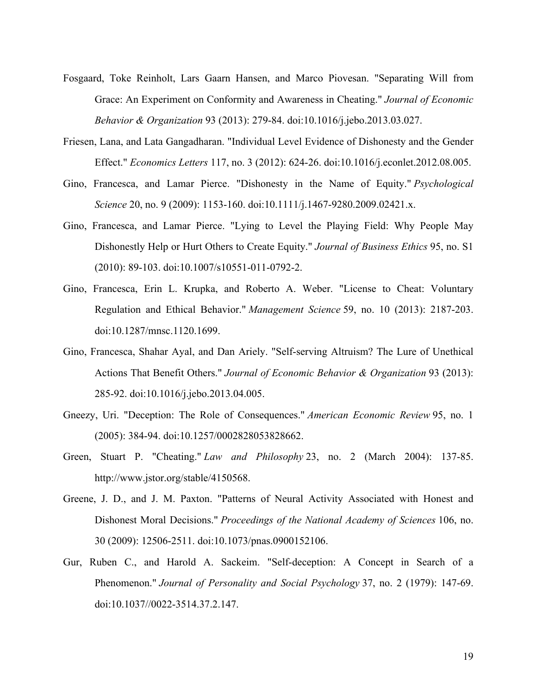- Fosgaard, Toke Reinholt, Lars Gaarn Hansen, and Marco Piovesan. "Separating Will from Grace: An Experiment on Conformity and Awareness in Cheating." *Journal of Economic Behavior & Organization* 93 (2013): 279-84. doi:10.1016/j.jebo.2013.03.027.
- Friesen, Lana, and Lata Gangadharan. "Individual Level Evidence of Dishonesty and the Gender Effect." *Economics Letters* 117, no. 3 (2012): 624-26. doi:10.1016/j.econlet.2012.08.005.
- Gino, Francesca, and Lamar Pierce. "Dishonesty in the Name of Equity." *Psychological Science* 20, no. 9 (2009): 1153-160. doi:10.1111/j.1467-9280.2009.02421.x.
- Gino, Francesca, and Lamar Pierce. "Lying to Level the Playing Field: Why People May Dishonestly Help or Hurt Others to Create Equity." *Journal of Business Ethics* 95, no. S1 (2010): 89-103. doi:10.1007/s10551-011-0792-2.
- Gino, Francesca, Erin L. Krupka, and Roberto A. Weber. "License to Cheat: Voluntary Regulation and Ethical Behavior." *Management Science* 59, no. 10 (2013): 2187-203. doi:10.1287/mnsc.1120.1699.
- Gino, Francesca, Shahar Ayal, and Dan Ariely. "Self-serving Altruism? The Lure of Unethical Actions That Benefit Others." *Journal of Economic Behavior & Organization* 93 (2013): 285-92. doi:10.1016/j.jebo.2013.04.005.
- Gneezy, Uri. "Deception: The Role of Consequences." *American Economic Review* 95, no. 1 (2005): 384-94. doi:10.1257/0002828053828662.
- Green, Stuart P. "Cheating." *Law and Philosophy* 23, no. 2 (March 2004): 137-85. http://www.jstor.org/stable/4150568.
- Greene, J. D., and J. M. Paxton. "Patterns of Neural Activity Associated with Honest and Dishonest Moral Decisions." *Proceedings of the National Academy of Sciences* 106, no. 30 (2009): 12506-2511. doi:10.1073/pnas.0900152106.
- Gur, Ruben C., and Harold A. Sackeim. "Self-deception: A Concept in Search of a Phenomenon." *Journal of Personality and Social Psychology* 37, no. 2 (1979): 147-69. doi:10.1037//0022-3514.37.2.147.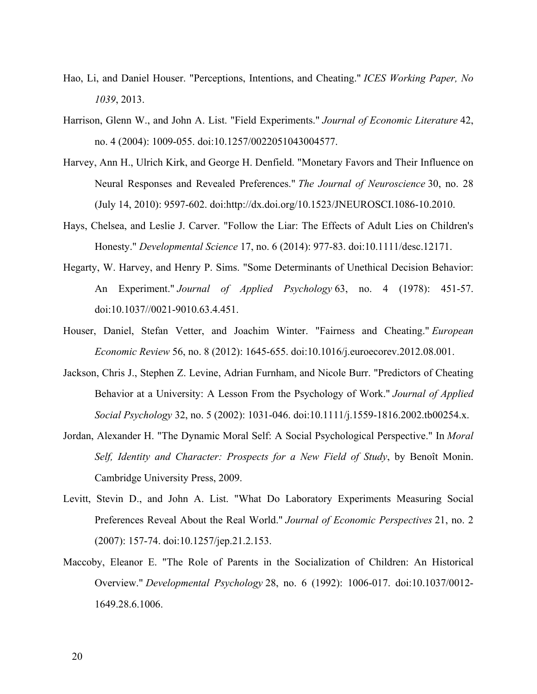- Hao, Li, and Daniel Houser. "Perceptions, Intentions, and Cheating." *ICES Working Paper, No 1039*, 2013.
- Harrison, Glenn W., and John A. List. "Field Experiments." *Journal of Economic Literature* 42, no. 4 (2004): 1009-055. doi:10.1257/0022051043004577.
- Harvey, Ann H., Ulrich Kirk, and George H. Denfield. "Monetary Favors and Their Influence on Neural Responses and Revealed Preferences." *The Journal of Neuroscience* 30, no. 28 (July 14, 2010): 9597-602. doi:http://dx.doi.org/10.1523/JNEUROSCI.1086-10.2010.
- Hays, Chelsea, and Leslie J. Carver. "Follow the Liar: The Effects of Adult Lies on Children's Honesty." *Developmental Science* 17, no. 6 (2014): 977-83. doi:10.1111/desc.12171.
- Hegarty, W. Harvey, and Henry P. Sims. "Some Determinants of Unethical Decision Behavior: An Experiment." *Journal of Applied Psychology* 63, no. 4 (1978): 451-57. doi:10.1037//0021-9010.63.4.451.
- Houser, Daniel, Stefan Vetter, and Joachim Winter. "Fairness and Cheating." *European Economic Review* 56, no. 8 (2012): 1645-655. doi:10.1016/j.euroecorev.2012.08.001.
- Jackson, Chris J., Stephen Z. Levine, Adrian Furnham, and Nicole Burr. "Predictors of Cheating Behavior at a University: A Lesson From the Psychology of Work." *Journal of Applied Social Psychology* 32, no. 5 (2002): 1031-046. doi:10.1111/j.1559-1816.2002.tb00254.x.
- Jordan, Alexander H. "The Dynamic Moral Self: A Social Psychological Perspective." In *Moral Self, Identity and Character: Prospects for a New Field of Study*, by Benoît Monin. Cambridge University Press, 2009.
- Levitt, Stevin D., and John A. List. "What Do Laboratory Experiments Measuring Social Preferences Reveal About the Real World." *Journal of Economic Perspectives* 21, no. 2 (2007): 157-74. doi:10.1257/jep.21.2.153.
- Maccoby, Eleanor E. "The Role of Parents in the Socialization of Children: An Historical Overview." *Developmental Psychology* 28, no. 6 (1992): 1006-017. doi:10.1037/0012- 1649.28.6.1006.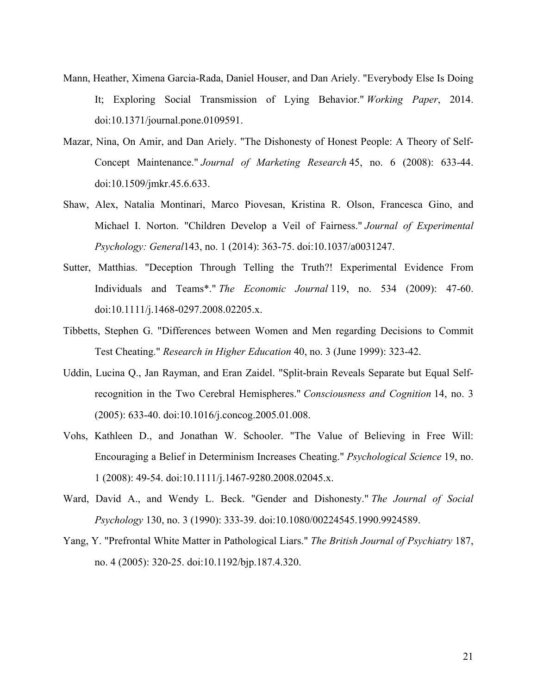- Mann, Heather, Ximena Garcia-Rada, Daniel Houser, and Dan Ariely. "Everybody Else Is Doing It; Exploring Social Transmission of Lying Behavior." *Working Paper*, 2014. doi:10.1371/journal.pone.0109591.
- Mazar, Nina, On Amir, and Dan Ariely. "The Dishonesty of Honest People: A Theory of Self-Concept Maintenance." *Journal of Marketing Research* 45, no. 6 (2008): 633-44. doi:10.1509/jmkr.45.6.633.
- Shaw, Alex, Natalia Montinari, Marco Piovesan, Kristina R. Olson, Francesca Gino, and Michael I. Norton. "Children Develop a Veil of Fairness." *Journal of Experimental Psychology: General*143, no. 1 (2014): 363-75. doi:10.1037/a0031247.
- Sutter, Matthias. "Deception Through Telling the Truth?! Experimental Evidence From Individuals and Teams\*." *The Economic Journal* 119, no. 534 (2009): 47-60. doi:10.1111/j.1468-0297.2008.02205.x.
- Tibbetts, Stephen G. "Differences between Women and Men regarding Decisions to Commit Test Cheating." *Research in Higher Education* 40, no. 3 (June 1999): 323-42.
- Uddin, Lucina Q., Jan Rayman, and Eran Zaidel. "Split-brain Reveals Separate but Equal Selfrecognition in the Two Cerebral Hemispheres." *Consciousness and Cognition* 14, no. 3 (2005): 633-40. doi:10.1016/j.concog.2005.01.008.
- Vohs, Kathleen D., and Jonathan W. Schooler. "The Value of Believing in Free Will: Encouraging a Belief in Determinism Increases Cheating." *Psychological Science* 19, no. 1 (2008): 49-54. doi:10.1111/j.1467-9280.2008.02045.x.
- Ward, David A., and Wendy L. Beck. "Gender and Dishonesty." *The Journal of Social Psychology* 130, no. 3 (1990): 333-39. doi:10.1080/00224545.1990.9924589.
- Yang, Y. "Prefrontal White Matter in Pathological Liars." *The British Journal of Psychiatry* 187, no. 4 (2005): 320-25. doi:10.1192/bjp.187.4.320.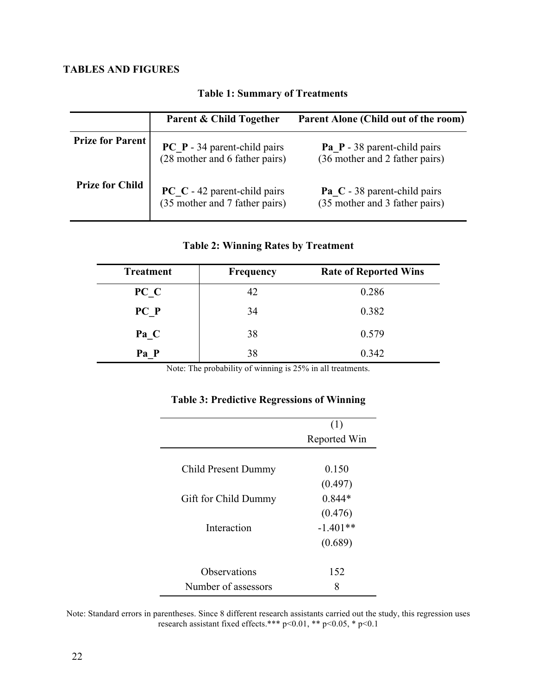## **TABLES AND FIGURES**

L

|  |  | <b>Table 1: Summary of Treatments</b> |  |
|--|--|---------------------------------------|--|
|--|--|---------------------------------------|--|

|                         | Parent & Child Together                                                 | Parent Alone (Child out of the room)                             |
|-------------------------|-------------------------------------------------------------------------|------------------------------------------------------------------|
| <b>Prize for Parent</b> | <b>PC P</b> - 34 parent-child pairs<br>(28 mother and 6 father pairs)   | Pa P - 38 parent-child pairs<br>(36 mother and 2 father pairs)   |
| <b>Prize for Child</b>  | <b>PC</b> $C - 42$ parent-child pairs<br>(35 mother and 7 father pairs) | Pa $C - 38$ parent-child pairs<br>(35 mother and 3 father pairs) |

## **Table 2: Winning Rates by Treatment**

| <b>Treatment</b> | <b>Frequency</b> | <b>Rate of Reported Wins</b> |
|------------------|------------------|------------------------------|
| PC C             | 42               | 0.286                        |
| PC P             | 34               | 0.382                        |
| Pa C             | 38               | 0.579                        |
| Pa P             | 38               | 0.342                        |

Note: The probability of winning is 25% in all treatments.

|                      | (1)          |
|----------------------|--------------|
|                      | Reported Win |
|                      |              |
| Child Present Dummy  | 0.150        |
|                      | (0.497)      |
| Gift for Child Dummy | $0.844*$     |
|                      | (0.476)      |
| Interaction          | $-1.401**$   |
|                      | (0.689)      |
|                      |              |
| Observations         | 152          |
| Number of assessors  |              |

## **Table 3: Predictive Regressions of Winning**

Note: Standard errors in parentheses. Since 8 different research assistants carried out the study, this regression uses research assistant fixed effects.\*\*\* p<0.01, \*\* p<0.05, \* p<0.1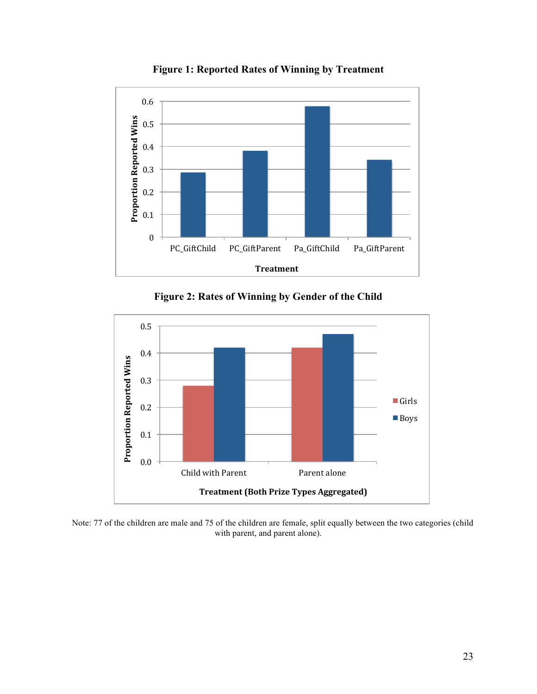

**Figure 1: Reported Rates of Winning by Treatment**

**Figure 2: Rates of Winning by Gender of the Child**



Note: 77 of the children are male and 75 of the children are female, split equally between the two categories (child with parent, and parent alone).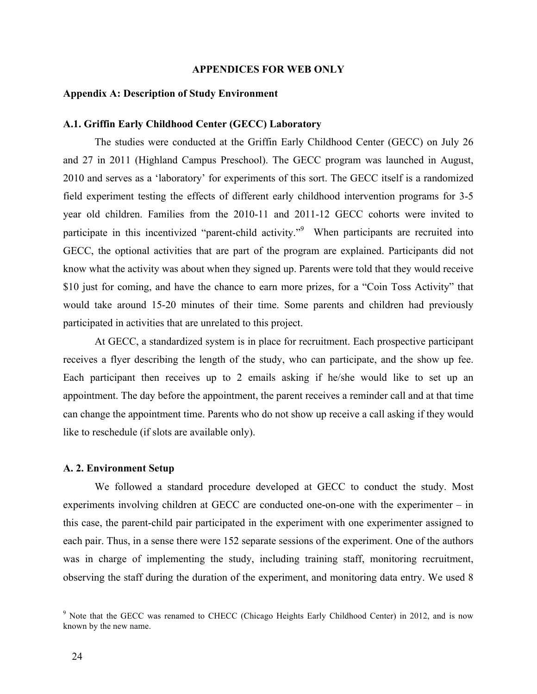#### **APPENDICES FOR WEB ONLY**

#### **Appendix A: Description of Study Environment**

#### **A.1. Griffin Early Childhood Center (GECC) Laboratory**

The studies were conducted at the Griffin Early Childhood Center (GECC) on July 26 and 27 in 2011 (Highland Campus Preschool). The GECC program was launched in August, 2010 and serves as a 'laboratory' for experiments of this sort. The GECC itself is a randomized field experiment testing the effects of different early childhood intervention programs for 3-5 year old children. Families from the 2010-11 and 2011-12 GECC cohorts were invited to participate in this incentivized "parent-child activity."<sup>9</sup> When participants are recruited into GECC, the optional activities that are part of the program are explained. Participants did not know what the activity was about when they signed up. Parents were told that they would receive \$10 just for coming, and have the chance to earn more prizes, for a "Coin Toss Activity" that would take around 15-20 minutes of their time. Some parents and children had previously participated in activities that are unrelated to this project.

At GECC, a standardized system is in place for recruitment. Each prospective participant receives a flyer describing the length of the study, who can participate, and the show up fee. Each participant then receives up to 2 emails asking if he/she would like to set up an appointment. The day before the appointment, the parent receives a reminder call and at that time can change the appointment time. Parents who do not show up receive a call asking if they would like to reschedule (if slots are available only).

#### **A. 2. Environment Setup**

We followed a standard procedure developed at GECC to conduct the study. Most experiments involving children at GECC are conducted one-on-one with the experimenter – in this case, the parent-child pair participated in the experiment with one experimenter assigned to each pair. Thus, in a sense there were 152 separate sessions of the experiment. One of the authors was in charge of implementing the study, including training staff, monitoring recruitment, observing the staff during the duration of the experiment, and monitoring data entry. We used 8

<sup>&</sup>lt;sup>9</sup> Note that the GECC was renamed to CHECC (Chicago Heights Early Childhood Center) in 2012, and is now known by the new name.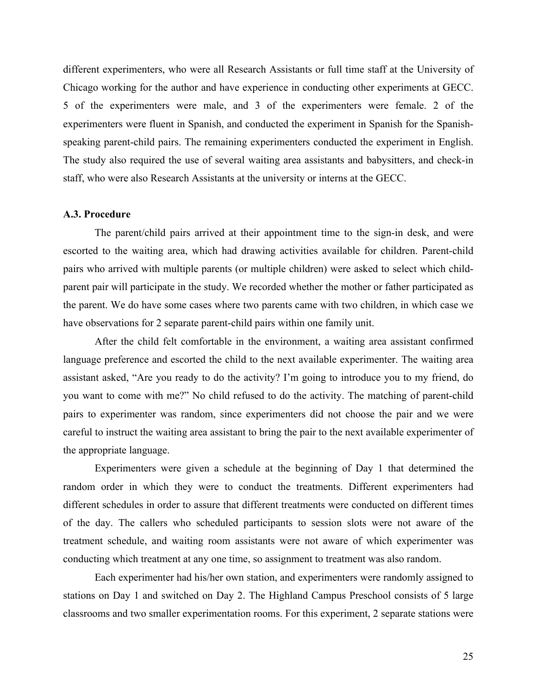different experimenters, who were all Research Assistants or full time staff at the University of Chicago working for the author and have experience in conducting other experiments at GECC. 5 of the experimenters were male, and 3 of the experimenters were female. 2 of the experimenters were fluent in Spanish, and conducted the experiment in Spanish for the Spanishspeaking parent-child pairs. The remaining experimenters conducted the experiment in English. The study also required the use of several waiting area assistants and babysitters, and check-in staff, who were also Research Assistants at the university or interns at the GECC.

#### **A.3. Procedure**

The parent/child pairs arrived at their appointment time to the sign-in desk, and were escorted to the waiting area, which had drawing activities available for children. Parent-child pairs who arrived with multiple parents (or multiple children) were asked to select which childparent pair will participate in the study. We recorded whether the mother or father participated as the parent. We do have some cases where two parents came with two children, in which case we have observations for 2 separate parent-child pairs within one family unit.

After the child felt comfortable in the environment, a waiting area assistant confirmed language preference and escorted the child to the next available experimenter. The waiting area assistant asked, "Are you ready to do the activity? I'm going to introduce you to my friend, do you want to come with me?" No child refused to do the activity. The matching of parent-child pairs to experimenter was random, since experimenters did not choose the pair and we were careful to instruct the waiting area assistant to bring the pair to the next available experimenter of the appropriate language.

Experimenters were given a schedule at the beginning of Day 1 that determined the random order in which they were to conduct the treatments. Different experimenters had different schedules in order to assure that different treatments were conducted on different times of the day. The callers who scheduled participants to session slots were not aware of the treatment schedule, and waiting room assistants were not aware of which experimenter was conducting which treatment at any one time, so assignment to treatment was also random.

Each experimenter had his/her own station, and experimenters were randomly assigned to stations on Day 1 and switched on Day 2. The Highland Campus Preschool consists of 5 large classrooms and two smaller experimentation rooms. For this experiment, 2 separate stations were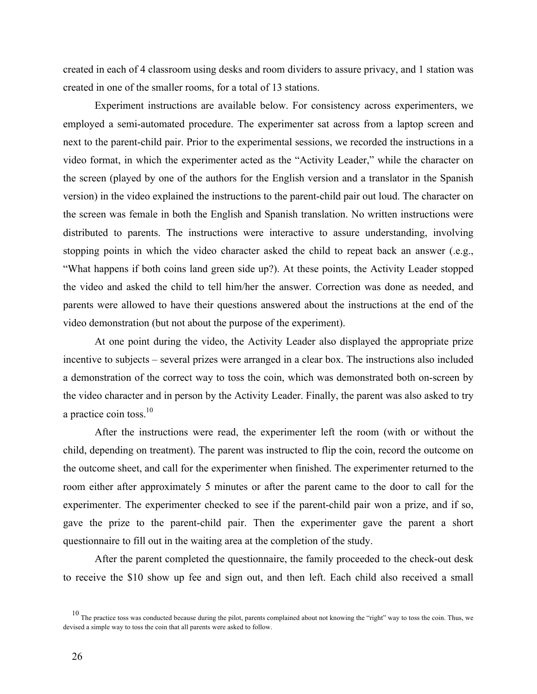created in each of 4 classroom using desks and room dividers to assure privacy, and 1 station was created in one of the smaller rooms, for a total of 13 stations.

Experiment instructions are available below. For consistency across experimenters, we employed a semi-automated procedure. The experimenter sat across from a laptop screen and next to the parent-child pair. Prior to the experimental sessions, we recorded the instructions in a video format, in which the experimenter acted as the "Activity Leader," while the character on the screen (played by one of the authors for the English version and a translator in the Spanish version) in the video explained the instructions to the parent-child pair out loud. The character on the screen was female in both the English and Spanish translation. No written instructions were distributed to parents. The instructions were interactive to assure understanding, involving stopping points in which the video character asked the child to repeat back an answer (.e.g., "What happens if both coins land green side up?). At these points, the Activity Leader stopped the video and asked the child to tell him/her the answer. Correction was done as needed, and parents were allowed to have their questions answered about the instructions at the end of the video demonstration (but not about the purpose of the experiment).

At one point during the video, the Activity Leader also displayed the appropriate prize incentive to subjects – several prizes were arranged in a clear box. The instructions also included a demonstration of the correct way to toss the coin, which was demonstrated both on-screen by the video character and in person by the Activity Leader. Finally, the parent was also asked to try a practice coin toss.<sup>10</sup>

After the instructions were read, the experimenter left the room (with or without the child, depending on treatment). The parent was instructed to flip the coin, record the outcome on the outcome sheet, and call for the experimenter when finished. The experimenter returned to the room either after approximately 5 minutes or after the parent came to the door to call for the experimenter. The experimenter checked to see if the parent-child pair won a prize, and if so, gave the prize to the parent-child pair. Then the experimenter gave the parent a short questionnaire to fill out in the waiting area at the completion of the study.

After the parent completed the questionnaire, the family proceeded to the check-out desk to receive the \$10 show up fee and sign out, and then left. Each child also received a small

<sup>&</sup>lt;sup>10</sup> The practice toss was conducted because during the pilot, parents complained about not knowing the "right" way to toss the coin. Thus, we devised a simple way to toss the coin that all parents were asked to follow.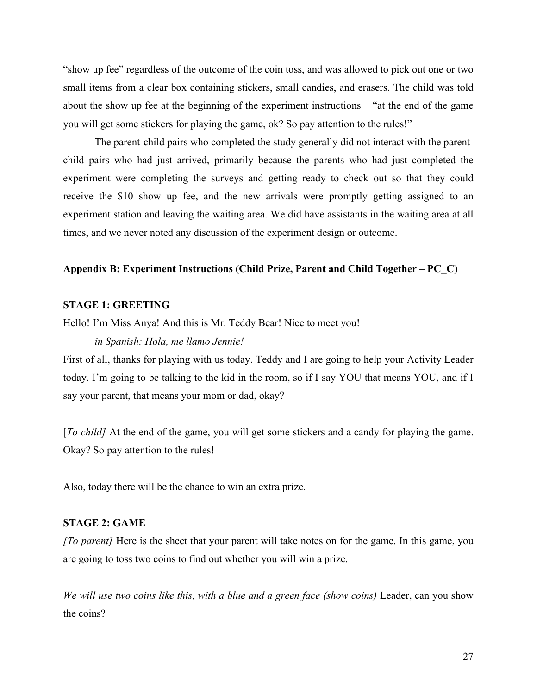"show up fee" regardless of the outcome of the coin toss, and was allowed to pick out one or two small items from a clear box containing stickers, small candies, and erasers. The child was told about the show up fee at the beginning of the experiment instructions – "at the end of the game you will get some stickers for playing the game, ok? So pay attention to the rules!"

The parent-child pairs who completed the study generally did not interact with the parentchild pairs who had just arrived, primarily because the parents who had just completed the experiment were completing the surveys and getting ready to check out so that they could receive the \$10 show up fee, and the new arrivals were promptly getting assigned to an experiment station and leaving the waiting area. We did have assistants in the waiting area at all times, and we never noted any discussion of the experiment design or outcome.

#### **Appendix B: Experiment Instructions (Child Prize, Parent and Child Together – PC\_C)**

## **STAGE 1: GREETING**

Hello! I'm Miss Anya! And this is Mr. Teddy Bear! Nice to meet you!

#### *in Spanish: Hola, me llamo Jennie!*

First of all, thanks for playing with us today. Teddy and I are going to help your Activity Leader today. I'm going to be talking to the kid in the room, so if I say YOU that means YOU, and if I say your parent, that means your mom or dad, okay?

[*To child]* At the end of the game, you will get some stickers and a candy for playing the game. Okay? So pay attention to the rules!

Also, today there will be the chance to win an extra prize.

### **STAGE 2: GAME**

*[To parent]* Here is the sheet that your parent will take notes on for the game. In this game, you are going to toss two coins to find out whether you will win a prize.

*We will use two coins like this, with a blue and a green face (show coins)* Leader, can you show the coins?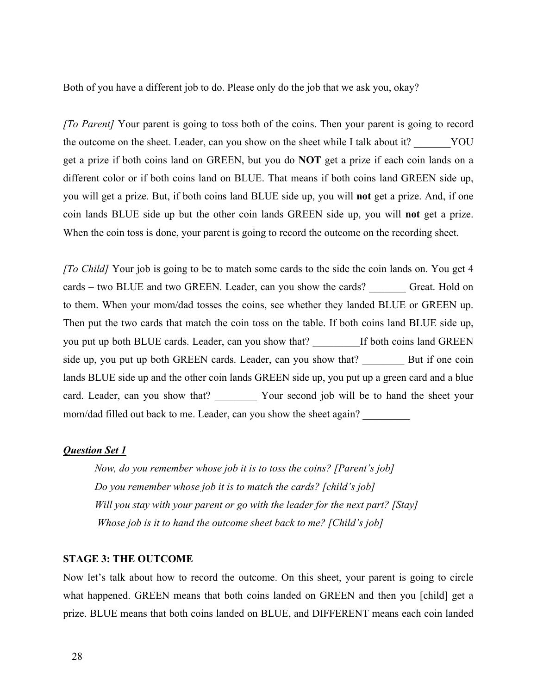Both of you have a different job to do. Please only do the job that we ask you, okay?

*[To Parent]* Your parent is going to toss both of the coins. Then your parent is going to record the outcome on the sheet. Leader, can you show on the sheet while I talk about it? YOU get a prize if both coins land on GREEN, but you do **NOT** get a prize if each coin lands on a different color or if both coins land on BLUE. That means if both coins land GREEN side up, you will get a prize. But, if both coins land BLUE side up, you will **not** get a prize. And, if one coin lands BLUE side up but the other coin lands GREEN side up, you will **not** get a prize. When the coin toss is done, your parent is going to record the outcome on the recording sheet.

*[To Child]* Your job is going to be to match some cards to the side the coin lands on. You get 4 cards – two BLUE and two GREEN. Leader, can you show the cards? \_\_\_\_\_\_\_ Great. Hold on to them. When your mom/dad tosses the coins, see whether they landed BLUE or GREEN up. Then put the two cards that match the coin toss on the table. If both coins land BLUE side up, you put up both BLUE cards. Leader, can you show that? If both coins land GREEN side up, you put up both GREEN cards. Leader, can you show that? But if one coin lands BLUE side up and the other coin lands GREEN side up, you put up a green card and a blue card. Leader, can you show that? Your second job will be to hand the sheet your mom/dad filled out back to me. Leader, can you show the sheet again? \_\_\_\_\_\_\_\_\_

### *Question Set 1*

*Now, do you remember whose job it is to toss the coins? [Parent's job] Do you remember whose job it is to match the cards? [child's job] Will you stay with your parent or go with the leader for the next part? [Stay] Whose job is it to hand the outcome sheet back to me? [Child's job]*

#### **STAGE 3: THE OUTCOME**

Now let's talk about how to record the outcome. On this sheet, your parent is going to circle what happened. GREEN means that both coins landed on GREEN and then you [child] get a prize. BLUE means that both coins landed on BLUE, and DIFFERENT means each coin landed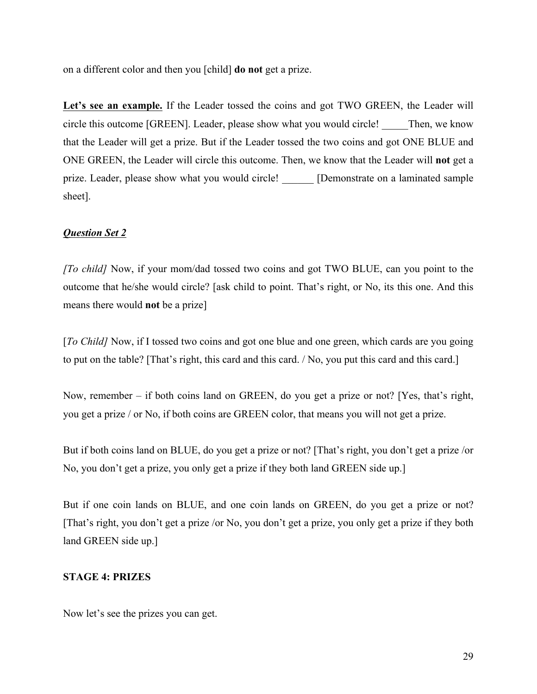on a different color and then you [child] **do not** get a prize.

Let's see an example. If the Leader tossed the coins and got TWO GREEN, the Leader will circle this outcome [GREEN]. Leader, please show what you would circle! Then, we know that the Leader will get a prize. But if the Leader tossed the two coins and got ONE BLUE and ONE GREEN, the Leader will circle this outcome. Then, we know that the Leader will **not** get a prize. Leader, please show what you would circle! [Demonstrate on a laminated sample sheet].

## *Question Set 2*

*[To child]* Now, if your mom/dad tossed two coins and got TWO BLUE, can you point to the outcome that he/she would circle? [ask child to point. That's right, or No, its this one. And this means there would **not** be a prize]

[*To Child]* Now, if I tossed two coins and got one blue and one green, which cards are you going to put on the table? [That's right, this card and this card. / No, you put this card and this card.]

Now, remember – if both coins land on GREEN, do you get a prize or not? [Yes, that's right, you get a prize / or No, if both coins are GREEN color, that means you will not get a prize.

But if both coins land on BLUE, do you get a prize or not? [That's right, you don't get a prize /or No, you don't get a prize, you only get a prize if they both land GREEN side up.]

But if one coin lands on BLUE, and one coin lands on GREEN, do you get a prize or not? [That's right, you don't get a prize /or No, you don't get a prize, you only get a prize if they both land GREEN side up.]

## **STAGE 4: PRIZES**

Now let's see the prizes you can get.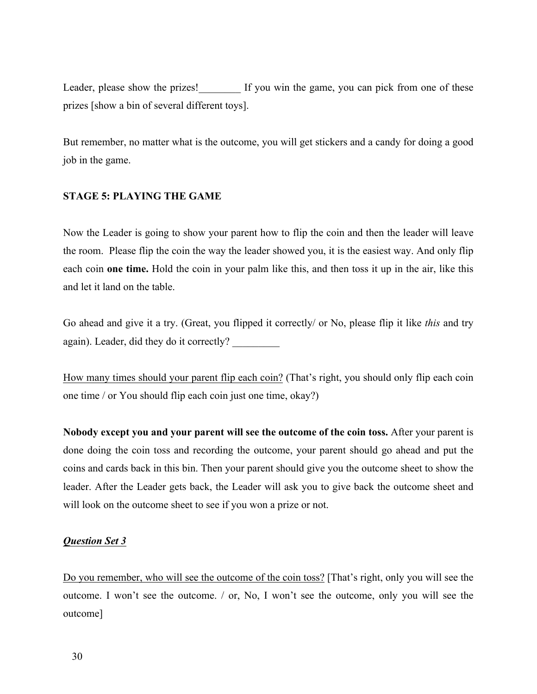Leader, please show the prizes! If you win the game, you can pick from one of these prizes [show a bin of several different toys].

But remember, no matter what is the outcome, you will get stickers and a candy for doing a good job in the game.

## **STAGE 5: PLAYING THE GAME**

Now the Leader is going to show your parent how to flip the coin and then the leader will leave the room. Please flip the coin the way the leader showed you, it is the easiest way. And only flip each coin **one time.** Hold the coin in your palm like this, and then toss it up in the air, like this and let it land on the table.

Go ahead and give it a try. (Great, you flipped it correctly/ or No, please flip it like *this* and try again). Leader, did they do it correctly?

How many times should your parent flip each coin? (That's right, you should only flip each coin one time / or You should flip each coin just one time, okay?)

**Nobody except you and your parent will see the outcome of the coin toss.** After your parent is done doing the coin toss and recording the outcome, your parent should go ahead and put the coins and cards back in this bin. Then your parent should give you the outcome sheet to show the leader. After the Leader gets back, the Leader will ask you to give back the outcome sheet and will look on the outcome sheet to see if you won a prize or not.

## *Question Set 3*

Do you remember, who will see the outcome of the coin toss? [That's right, only you will see the outcome. I won't see the outcome. / or, No, I won't see the outcome, only you will see the outcome]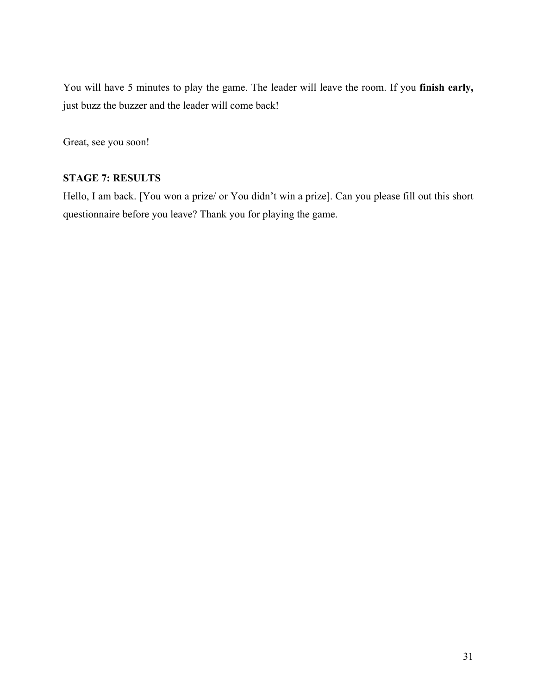You will have 5 minutes to play the game. The leader will leave the room. If you **finish early,**  just buzz the buzzer and the leader will come back!

Great, see you soon!

## **STAGE 7: RESULTS**

Hello, I am back. [You won a prize/ or You didn't win a prize]. Can you please fill out this short questionnaire before you leave? Thank you for playing the game.